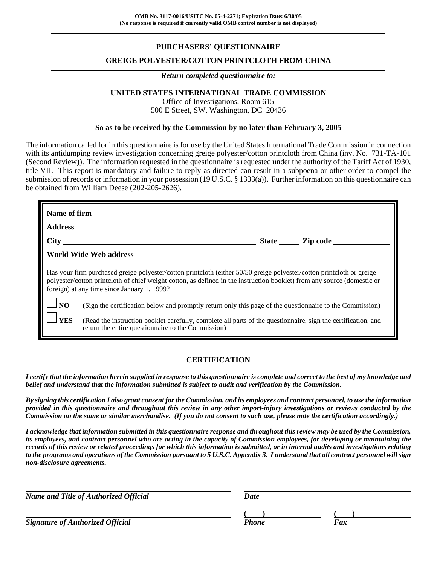## **PURCHASERS' QUESTIONNAIRE**

### **GREIGE POLYESTER/COTTON PRINTCLOTH FROM CHINA**

#### *Return completed questionnaire to:*

#### **UNITED STATES INTERNATIONAL TRADE COMMISSION**

Office of Investigations, Room 615 500 E Street, SW, Washington, DC 20436

#### **So as to be received by the Commission by no later than February 3, 2005**

The information called for in this questionnaire is for use by the United States International Trade Commission in connection with its antidumping review investigation concerning greige polyester/cotton printcloth from China (inv. No. 731-TA-101 (Second Review)). The information requested in the questionnaire is requested under the authority of the Tariff Act of 1930, title VII. This report is mandatory and failure to reply as directed can result in a subpoena or other order to compel the submission of records or information in your possession (19 U.S.C. § 1333(a)). Further information on this questionnaire can be obtained from William Deese (202-205-2626).

|                                                                                                                                                                                                                                                                                                 | Name of firm                                                                                                                                                        |  |  |
|-------------------------------------------------------------------------------------------------------------------------------------------------------------------------------------------------------------------------------------------------------------------------------------------------|---------------------------------------------------------------------------------------------------------------------------------------------------------------------|--|--|
|                                                                                                                                                                                                                                                                                                 |                                                                                                                                                                     |  |  |
|                                                                                                                                                                                                                                                                                                 |                                                                                                                                                                     |  |  |
|                                                                                                                                                                                                                                                                                                 | World Wide Web address                                                                                                                                              |  |  |
| Has your firm purchased greige polyester/cotton printcloth (either 50/50 greige polyester/cotton printcloth or greige<br>polyester/cotton printcloth of chief weight cotton, as defined in the instruction booklet) from any source (domestic or<br>foreign) at any time since January 1, 1999? |                                                                                                                                                                     |  |  |
| $\Box_{\rm NO}$                                                                                                                                                                                                                                                                                 | (Sign the certification below and promptly return only this page of the questionnaire to the Commission)                                                            |  |  |
| $\frac{1}{1}$ YES                                                                                                                                                                                                                                                                               | (Read the instruction booklet carefully, complete all parts of the questionnaire, sign the certification, and<br>return the entire questionnaire to the Commission) |  |  |

### **CERTIFICATION**

*I certify that the information herein supplied in response to this questionnaire is complete and correct to the best of my knowledge and belief and understand that the information submitted is subject to audit and verification by the Commission.*

*By signing this certification I also grant consent for the Commission, and its employees and contract personnel, to use the information provided in this questionnaire and throughout this review in any other import-injury investigations or reviews conducted by the Commission on the same or similar merchandise. (If you do not consent to such use, please note the certification accordingly.)*

*I acknowledge that information submitted in this questionnaire response and throughout this review may be used by the Commission, its employees, and contract personnel who are acting in the capacity of Commission employees, for developing or maintaining the records of this review or related proceedings for which this information is submitted, or in internal audits and investigations relating to the programs and operations of the Commission pursuant to 5 U.S.C. Appendix 3. I understand that all contract personnel will sign non-disclosure agreements.*

*Name and Title of Authorized Official* Date Date **( ) ( )** *Signature of Authorized Official Fax Phone Fax*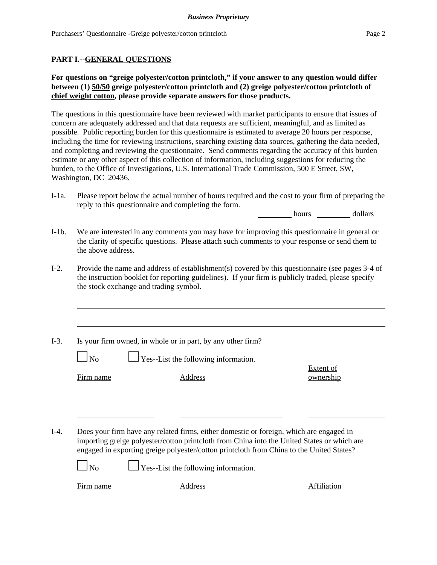### **PART I.--GENERAL QUESTIONS**

### **For questions on "greige polyester/cotton printcloth," if your answer to any question would differ between (1) 50/50 greige polyester/cotton printcloth and (2) greige polyester/cotton printcloth of chief weight cotton, please provide separate answers for those products.**

The questions in this questionnaire have been reviewed with market participants to ensure that issues of concern are adequately addressed and that data requests are sufficient, meaningful, and as limited as possible. Public reporting burden for this questionnaire is estimated to average 20 hours per response, including the time for reviewing instructions, searching existing data sources, gathering the data needed, and completing and reviewing the questionnaire. Send comments regarding the accuracy of this burden estimate or any other aspect of this collection of information, including suggestions for reducing the burden, to the Office of Investigations, U.S. International Trade Commission, 500 E Street, SW, Washington, DC 20436.

I-1a. Please report below the actual number of hours required and the cost to your firm of preparing the reply to this questionnaire and completing the form.

hours dollars

- I-1b. We are interested in any comments you may have for improving this questionnaire in general or the clarity of specific questions. Please attach such comments to your response or send them to the above address.
- I-2. Provide the name and address of establishment(s) covered by this questionnaire (see pages 3-4 of the instruction booklet for reporting guidelines). If your firm is publicly traded, please specify the stock exchange and trading symbol.
- I-3. Is your firm owned, in whole or in part, by any other firm?

 $\Box$  No  $\Box$  Yes--List the following information.

Extent of Firm name Address and Address ownership

I-4. Does your firm have any related firms, either domestic or foreign, which are engaged in importing greige polyester/cotton printcloth from China into the United States or which are engaged in exporting greige polyester/cotton printcloth from China to the United States?

 $\perp$  Yes--List the following information.

Firm name **Address** Address **Address** Affiliation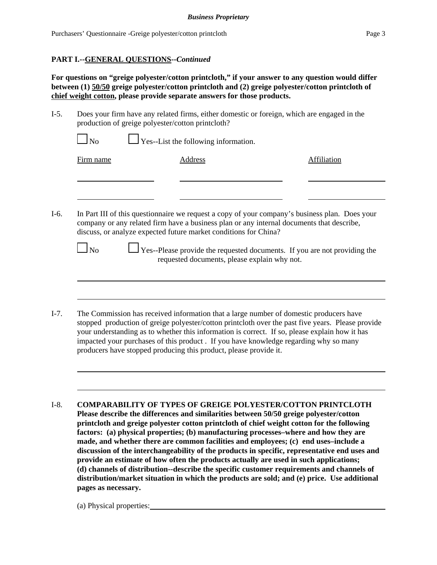### **PART I.--GENERAL QUESTIONS--***Continued*

**For questions on "greige polyester/cotton printcloth," if your answer to any question would differ between (1) 50/50 greige polyester/cotton printcloth and (2) greige polyester/cotton printcloth of chief weight cotton, please provide separate answers for those products.**

I-5. Does your firm have any related firms, either domestic or foreign, which are engaged in the production of greige polyester/cotton printcloth?

| Firm name |
|-----------|
|-----------|

Address Affiliation

I-6. In Part III of this questionnaire we request a copy of your company's business plan. Does your company or any related firm have a business plan or any internal documents that describe, discuss, or analyze expected future market conditions for China?

 $\Box$  No  $\Box$  Yes--Please provide the requested documents. If you are not providing the requested documents, please explain why not.

- I-7. The Commission has received information that a large number of domestic producers have stopped production of greige polyester/cotton printcloth over the past five years. Please provide your understanding as to whether this information is correct. If so, please explain how it has impacted your purchases of this product . If you have knowledge regarding why so many producers have stopped producing this product, please provide it.
- I-8. **COMPARABILITY OF TYPES OF GREIGE POLYESTER/COTTON PRINTCLOTH Please describe the differences and similarities between 50/50 greige polyester/cotton printcloth and greige polyester cotton printcloth of chief weight cotton for the following factors: (a) physical properties; (b) manufacturing processes–where and how they are made, and whether there are common facilities and employees; (c) end uses–include a discussion of the interchangeability of the products in specific, representative end uses and provide an estimate of how often the products actually are used in such applications; (d) channels of distribution--describe the specific customer requirements and channels of distribution/market situation in which the products are sold; and (e) price. Use additional pages as necessary.**

(a) Physical properties: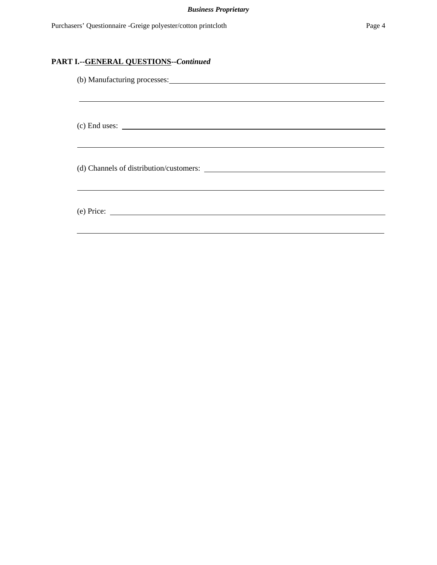# **PART I.--GENERAL QUESTIONS--***Continued*

| (b) Manufacturing processes:                |
|---------------------------------------------|
|                                             |
|                                             |
|                                             |
| $(c)$ End uses: $\overline{\qquad \qquad }$ |
|                                             |
|                                             |
|                                             |
|                                             |
|                                             |
| $(e)$ Price: $\qquad \qquad$                |
|                                             |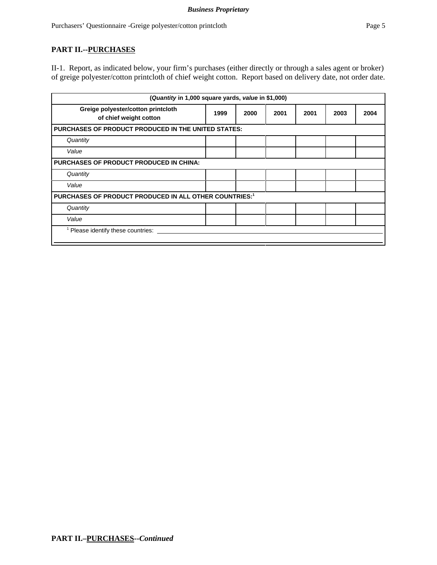### **PART II.--PURCHASES**

II-1. Report, as indicated below, your firm's purchases (either directly or through a sales agent or broker) of greige polyester/cotton printcloth of chief weight cotton. Report based on delivery date, not order date.

| (Quantity in 1,000 square yards, value in \$1,000)           |      |      |      |      |      |      |
|--------------------------------------------------------------|------|------|------|------|------|------|
| Greige polyester/cotton printcloth<br>of chief weight cotton | 1999 | 2000 | 2001 | 2001 | 2003 | 2004 |
| <b>PURCHASES OF PRODUCT PRODUCED IN THE UNITED STATES:</b>   |      |      |      |      |      |      |
| Quantity                                                     |      |      |      |      |      |      |
| Value                                                        |      |      |      |      |      |      |
| <b>PURCHASES OF PRODUCT PRODUCED IN CHINA:</b>               |      |      |      |      |      |      |
| Quantity                                                     |      |      |      |      |      |      |
| Value                                                        |      |      |      |      |      |      |
| PURCHASES OF PRODUCT PRODUCED IN ALL OTHER COUNTRIES:1       |      |      |      |      |      |      |
| Quantity                                                     |      |      |      |      |      |      |
| Value                                                        |      |      |      |      |      |      |
| Please identify these countries:                             |      |      |      |      |      |      |
|                                                              |      |      |      |      |      |      |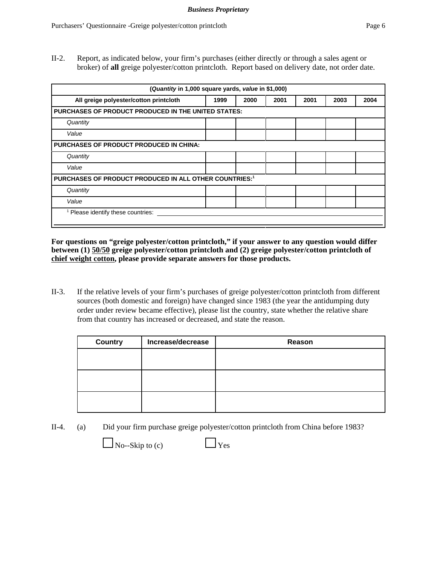II-2. Report, as indicated below, your firm's purchases (either directly or through a sales agent or broker) of **all** greige polyester/cotton printcloth. Report based on delivery date, not order date.

| (Quantity in 1,000 square yards, value in \$1,000)         |      |      |      |      |      |      |
|------------------------------------------------------------|------|------|------|------|------|------|
| All greige polyester/cotton printcloth                     | 1999 | 2000 | 2001 | 2001 | 2003 | 2004 |
| <b>PURCHASES OF PRODUCT PRODUCED IN THE UNITED STATES:</b> |      |      |      |      |      |      |
| Quantity                                                   |      |      |      |      |      |      |
| Value                                                      |      |      |      |      |      |      |
| <b>PURCHASES OF PRODUCT PRODUCED IN CHINA:</b>             |      |      |      |      |      |      |
| Quantity                                                   |      |      |      |      |      |      |
| Value                                                      |      |      |      |      |      |      |
| PURCHASES OF PRODUCT PRODUCED IN ALL OTHER COUNTRIES:1     |      |      |      |      |      |      |
| Quantity                                                   |      |      |      |      |      |      |
| Value                                                      |      |      |      |      |      |      |
| Please identify these countries:                           |      |      |      |      |      |      |

**For questions on "greige polyester/cotton printcloth," if your answer to any question would differ between (1) 50/50 greige polyester/cotton printcloth and (2) greige polyester/cotton printcloth of chief weight cotton, please provide separate answers for those products.**

II-3. If the relative levels of your firm's purchases of greige polyester/cotton printcloth from different sources (both domestic and foreign) have changed since 1983 (the year the antidumping duty order under review became effective), please list the country, state whether the relative share from that country has increased or decreased, and state the reason.

| <b>Country</b> | Increase/decrease | Reason |
|----------------|-------------------|--------|
|                |                   |        |
|                |                   |        |
|                |                   |        |
|                |                   |        |
|                |                   |        |
|                |                   |        |

II-4. (a) Did your firm purchase greige polyester/cotton printcloth from China before 1983?



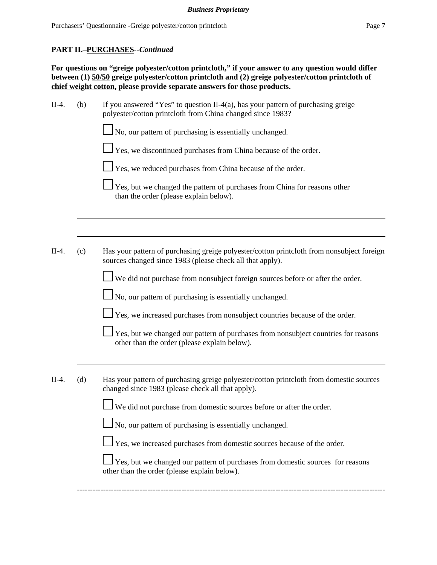### **PART II.–PURCHASES--***Continued*

**For questions on "greige polyester/cotton printcloth," if your answer to any question would differ between (1) 50/50 greige polyester/cotton printcloth and (2) greige polyester/cotton printcloth of chief weight cotton, please provide separate answers for those products.**

| $II-4.$ | (b) | If you answered "Yes" to question II-4(a), has your pattern of purchasing greige<br>polyester/cotton printcloth from China changed since 1983?         |
|---------|-----|--------------------------------------------------------------------------------------------------------------------------------------------------------|
|         |     | No, our pattern of purchasing is essentially unchanged.                                                                                                |
|         |     | Yes, we discontinued purchases from China because of the order.                                                                                        |
|         |     | $\perp$ Yes, we reduced purchases from China because of the order.                                                                                     |
|         |     | Yes, but we changed the pattern of purchases from China for reasons other<br>than the order (please explain below).                                    |
|         |     |                                                                                                                                                        |
| $II-4.$ | (c) | Has your pattern of purchasing greige polyester/cotton printcloth from nonsubject foreign<br>sources changed since 1983 (please check all that apply). |
|         |     | We did not purchase from nonsubject foreign sources before or after the order.                                                                         |
|         |     | $\Box$ No, our pattern of purchasing is essentially unchanged.                                                                                         |
|         |     | $\perp$ Yes, we increased purchases from nonsubject countries because of the order.                                                                    |
|         |     | Yes, but we changed our pattern of purchases from nonsubject countries for reasons<br>other than the order (please explain below).                     |
|         |     |                                                                                                                                                        |
| $II-4.$ | (d) | Has your pattern of purchasing greige polyester/cotton printcloth from domestic sources<br>changed since 1983 (please check all that apply).           |
|         |     | We did not purchase from domestic sources before or after the order.                                                                                   |
|         |     | No, our pattern of purchasing is essentially unchanged.                                                                                                |
|         |     | $\perp$ Yes, we increased purchases from domestic sources because of the order.                                                                        |
|         |     | Yes, but we changed our pattern of purchases from domestic sources for reasons<br>other than the order (please explain below).                         |
|         |     |                                                                                                                                                        |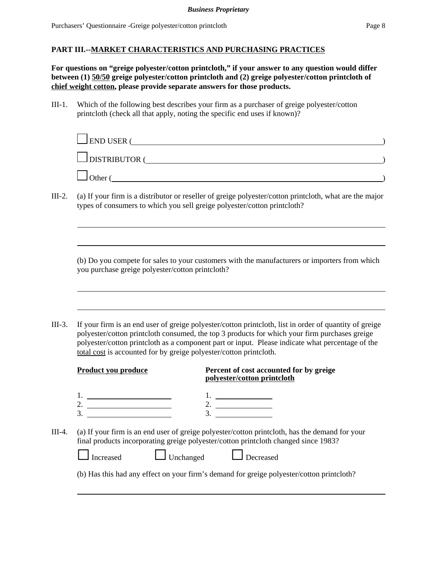**For questions on "greige polyester/cotton printcloth," if your answer to any question would differ between (1) 50/50 greige polyester/cotton printcloth and (2) greige polyester/cotton printcloth of chief weight cotton, please provide separate answers for those products.**

III-1. Which of the following best describes your firm as a purchaser of greige polyester/cotton printcloth (check all that apply, noting the specific end uses if known)?

| $\Box$ END USER (    |  |
|----------------------|--|
| $\Box$ DISTRIBUTOR ( |  |
| Other (              |  |

III-2. (a) If your firm is a distributor or reseller of greige polyester/cotton printcloth, what are the major types of consumers to which you sell greige polyester/cotton printcloth?

(b) Do you compete for sales to your customers with the manufacturers or importers from which you purchase greige polyester/cotton printcloth?

III-3. If your firm is an end user of greige polyester/cotton printcloth, list in order of quantity of greige polyester/cotton printcloth consumed, the top 3 products for which your firm purchases greige polyester/cotton printcloth as a component part or input. Please indicate what percentage of the total cost is accounted for by greige polyester/cotton printcloth.

|        | <b>Product you produce</b>    | Percent of cost accounted for by greige<br>polyester/cotton printcloth                                                                                                                |
|--------|-------------------------------|---------------------------------------------------------------------------------------------------------------------------------------------------------------------------------------|
|        | 2.<br>3.                      |                                                                                                                                                                                       |
| III-4. |                               | (a) If your firm is an end user of greige polyester/cotton printcloth, has the demand for your<br>final products incorporating greige polyester/cotton printcloth changed since 1983? |
|        | $\Box$ Unchanged<br>Increased | Decreased                                                                                                                                                                             |
|        |                               | (b) Has this had any effect on your firm's demand for greige polyester/cotton printcloth?                                                                                             |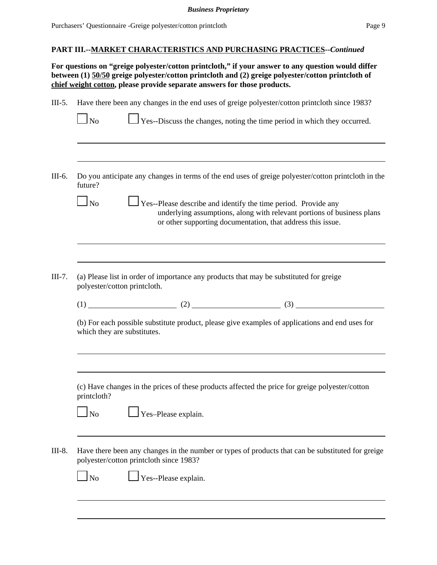**For questions on "greige polyester/cotton printcloth," if your answer to any question would differ between (1) 50/50 greige polyester/cotton printcloth and (2) greige polyester/cotton printcloth of chief weight cotton, please provide separate answers for those products.**

| $III-5.$ | Have there been any changes in the end uses of greige polyester/cotton printcloth since 1983?<br>Yes--Discuss the changes, noting the time period in which they occurred.<br>$\blacksquare$ No                                                                       |
|----------|----------------------------------------------------------------------------------------------------------------------------------------------------------------------------------------------------------------------------------------------------------------------|
| III-6.   | Do you anticipate any changes in terms of the end uses of greige polyester/cotton printcloth in the<br>future?<br>Yes--Please describe and identify the time period. Provide any<br>$\log$<br>underlying assumptions, along with relevant portions of business plans |
| $III-7.$ | or other supporting documentation, that address this issue.<br>(a) Please list in order of importance any products that may be substituted for greige                                                                                                                |
|          | polyester/cotton printcloth.<br>$(1)$ (1) (2) (2) (3)<br>(b) For each possible substitute product, please give examples of applications and end uses for<br>which they are substitutes.                                                                              |
|          | (c) Have changes in the prices of these products affected the price for greige polyester/cotton<br>printcloth?                                                                                                                                                       |
|          | Yes-Please explain.<br>N <sub>o</sub><br>Have there been any changes in the number or types of products that can be substituted for greige                                                                                                                           |
|          | polyester/cotton printcloth since 1983?<br>Yes--Please explain.<br>N <sub>o</sub>                                                                                                                                                                                    |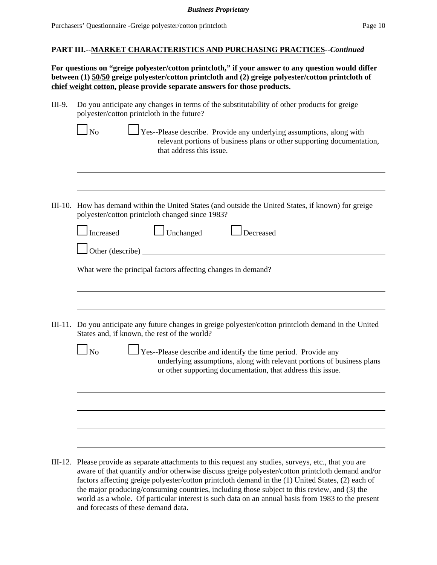**For questions on "greige polyester/cotton printcloth," if your answer to any question would differ between (1) 50/50 greige polyester/cotton printcloth and (2) greige polyester/cotton printcloth of chief weight cotton, please provide separate answers for those products.**

| III-9. Do you anticipate any changes in terms of the substitutability of other products for greige |
|----------------------------------------------------------------------------------------------------|
| polyester/cotton printcloth in the future?                                                         |

that address this issue.

| $\Box$ No | $\Box$ Yes--Please describe. Provide any underlying assumptions, along with |
|-----------|-----------------------------------------------------------------------------|
|           | relevant portions of business plans or other supporting documentation,      |

III-10. How has demand within the United States (and outside the United States, if known) for greige polyester/cotton printcloth changed since 1983?

|         | Unchanged<br>Increased<br>Decreased                                                                                                                                                                                  |  |  |  |  |  |  |
|---------|----------------------------------------------------------------------------------------------------------------------------------------------------------------------------------------------------------------------|--|--|--|--|--|--|
|         | Other (describe)                                                                                                                                                                                                     |  |  |  |  |  |  |
|         | What were the principal factors affecting changes in demand?                                                                                                                                                         |  |  |  |  |  |  |
|         |                                                                                                                                                                                                                      |  |  |  |  |  |  |
| III-11. | Do you anticipate any future changes in greige polyester/cotton printcloth demand in the United<br>States and, if known, the rest of the world?                                                                      |  |  |  |  |  |  |
|         | $\Box$ Yes--Please describe and identify the time period. Provide any<br>No<br>underlying assumptions, along with relevant portions of business plans<br>or other supporting documentation, that address this issue. |  |  |  |  |  |  |
|         |                                                                                                                                                                                                                      |  |  |  |  |  |  |
|         |                                                                                                                                                                                                                      |  |  |  |  |  |  |
|         |                                                                                                                                                                                                                      |  |  |  |  |  |  |

III-12. Please provide as separate attachments to this request any studies, surveys, etc., that you are aware of that quantify and/or otherwise discuss greige polyester/cotton printcloth demand and/or factors affecting greige polyester/cotton printcloth demand in the (1) United States, (2) each of the major producing/consuming countries, including those subject to this review, and (3) the world as a whole. Of particular interest is such data on an annual basis from 1983 to the present and forecasts of these demand data.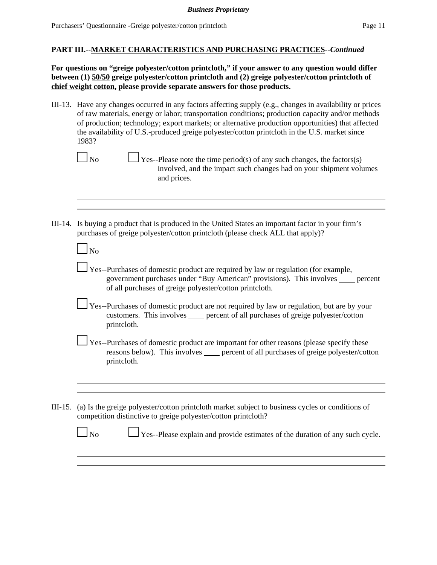**For questions on "greige polyester/cotton printcloth," if your answer to any question would differ between (1) 50/50 greige polyester/cotton printcloth and (2) greige polyester/cotton printcloth of chief weight cotton, please provide separate answers for those products.**

III-13. Have any changes occurred in any factors affecting supply (e.g., changes in availability or prices of raw materials, energy or labor; transportation conditions; production capacity and/or methods of production; technology; export markets; or alternative production opportunities) that affected the availability of U.S.-produced greige polyester/cotton printcloth in the U.S. market since 1983?

- $\Box$  Yes--Please note the time period(s) of any such changes, the factors(s) involved, and the impact such changes had on your shipment volumes and prices.
- III-14. Is buying a product that is produced in the United States an important factor in your firm's purchases of greige polyester/cotton printcloth (please check ALL that apply)?

| Yes--Purchases of domestic product are required by law or regulation (for example,<br>government purchases under "Buy American" provisions). This involves _____ percent<br>of all purchases of greige polyester/cotton printcloth. |
|-------------------------------------------------------------------------------------------------------------------------------------------------------------------------------------------------------------------------------------|
| Yes--Purchases of domestic product are not required by law or regulation, but are by your<br>customers. This involves _____ percent of all purchases of greige polyester/cotton<br>printcloth.                                      |
| Yes--Purchases of domestic product are important for other reasons (please specify these<br>reasons below). This involves <u>equal percent</u> of all purchases of greige polyester/cotton<br>printcloth.                           |
|                                                                                                                                                                                                                                     |
| . And Islam such as a structure of the model of the model of the leading of the state of second theory of                                                                                                                           |

III-15. (a) Is the greige polyester/cotton printcloth market subject to business cycles or conditions of competition distinctive to greige polyester/cotton printcloth?

| $\Box$ No | Yes--Please explain and provide estimates of the duration of any such cycle. |
|-----------|------------------------------------------------------------------------------|
|           |                                                                              |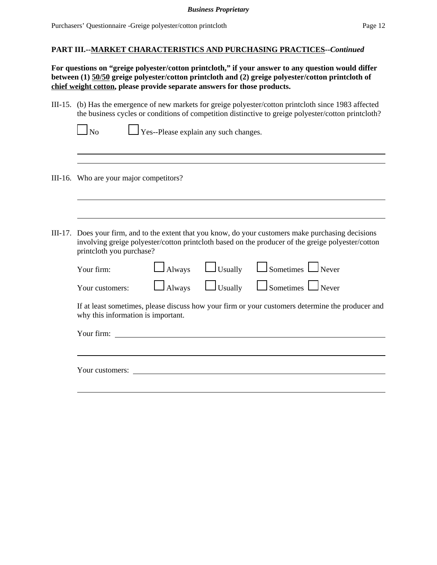#### *Business Proprietary*

#### **PART III.--MARKET CHARACTERISTICS AND PURCHASING PRACTICES--***Continued*

**For questions on "greige polyester/cotton printcloth," if your answer to any question would differ between (1) 50/50 greige polyester/cotton printcloth and (2) greige polyester/cotton printcloth of chief weight cotton, please provide separate answers for those products.**

III-15. (b) Has the emergence of new markets for greige polyester/cotton printcloth since 1983 affected the business cycles or conditions of competition distinctive to greige polyester/cotton printcloth?

 $\Box$  Yes--Please explain any such changes.

- III-16. Who are your major competitors?
- III-17. Does your firm, and to the extent that you know, do your customers make purchasing decisions involving greige polyester/cotton printcloth based on the producer of the greige polyester/cotton printcloth you purchase?

| Your firm:                                                                                                                             |  |  | $\Box$ Always $\Box$ Usually $\Box$ Sometimes $\Box$ Never |  |  |  |  |
|----------------------------------------------------------------------------------------------------------------------------------------|--|--|------------------------------------------------------------|--|--|--|--|
| Your customers:                                                                                                                        |  |  | $\Box$ Always $\Box$ Usually $\Box$ Sometimes $\Box$ Never |  |  |  |  |
| If at least sometimes, please discuss how your firm or your customers determine the producer and<br>why this information is important. |  |  |                                                            |  |  |  |  |
| Your firm:                                                                                                                             |  |  |                                                            |  |  |  |  |
|                                                                                                                                        |  |  |                                                            |  |  |  |  |
|                                                                                                                                        |  |  |                                                            |  |  |  |  |

Your customers: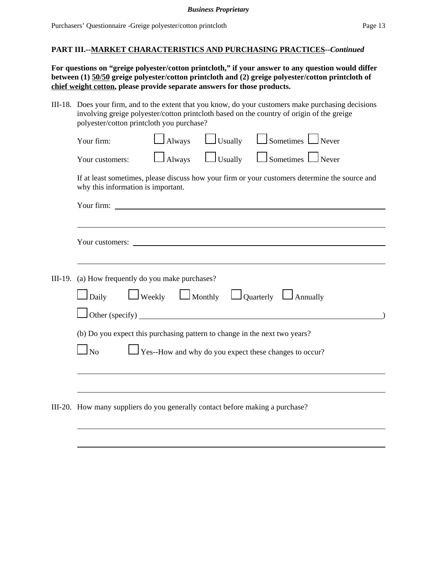**For questions on "greige polyester/cotton printcloth," if your answer to any question would differ between (1) 50/50 greige polyester/cotton printcloth and (2) greige polyester/cotton printcloth of chief weight cotton, please provide separate answers for those products.**

III-18. Does your firm, and to the extent that you know, do your customers make purchasing decisions involving greige polyester/cotton printcloth based on the country of origin of the greige polyester/cotton printcloth you purchase?

|                                                                                                                                      | Your firm:                                                                    | $\frac{1}{2}$ Always | $\Box$ Usually | $\Box$ Sometimes $\Box$ Never                                  |  |  |  |  |  |
|--------------------------------------------------------------------------------------------------------------------------------------|-------------------------------------------------------------------------------|----------------------|----------------|----------------------------------------------------------------|--|--|--|--|--|
|                                                                                                                                      | Your customers:                                                               | $\Box$ Always        | $\Box$ Usually | $\Box$ Sometimes $\Box$ Never                                  |  |  |  |  |  |
| If at least sometimes, please discuss how your firm or your customers determine the source and<br>why this information is important. |                                                                               |                      |                |                                                                |  |  |  |  |  |
|                                                                                                                                      |                                                                               |                      |                |                                                                |  |  |  |  |  |
|                                                                                                                                      |                                                                               |                      |                |                                                                |  |  |  |  |  |
|                                                                                                                                      |                                                                               |                      |                |                                                                |  |  |  |  |  |
|                                                                                                                                      |                                                                               |                      |                |                                                                |  |  |  |  |  |
| III-19.                                                                                                                              | (a) How frequently do you make purchases?                                     |                      |                |                                                                |  |  |  |  |  |
|                                                                                                                                      | $\Box$ Daily $\Box$ Weekly $\Box$ Monthly $\Box$ Quarterly $\Box$ Annually    |                      |                |                                                                |  |  |  |  |  |
|                                                                                                                                      | $\Box$ Other (specify) $\Box$                                                 |                      |                |                                                                |  |  |  |  |  |
| (b) Do you expect this purchasing pattern to change in the next two years?                                                           |                                                                               |                      |                |                                                                |  |  |  |  |  |
|                                                                                                                                      | $\Box$ No                                                                     |                      |                | $\perp$ Yes--How and why do you expect these changes to occur? |  |  |  |  |  |
|                                                                                                                                      |                                                                               |                      |                |                                                                |  |  |  |  |  |
|                                                                                                                                      |                                                                               |                      |                |                                                                |  |  |  |  |  |
|                                                                                                                                      | III-20. How many suppliers do you generally contact before making a purchase? |                      |                |                                                                |  |  |  |  |  |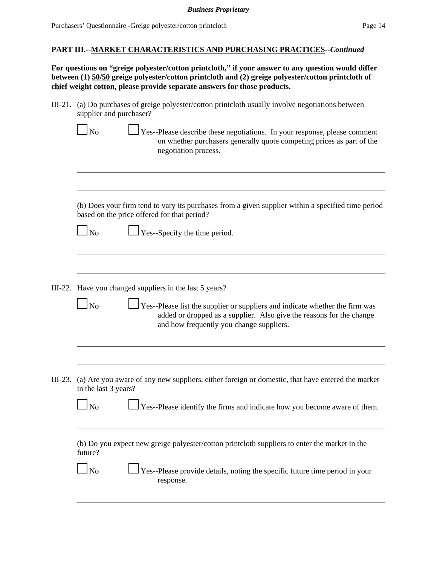**For questions on "greige polyester/cotton printcloth," if your answer to any question would differ between (1) 50/50 greige polyester/cotton printcloth and (2) greige polyester/cotton printcloth of chief weight cotton, please provide separate answers for those products.**

III-21. (a) Do purchases of greige polyester/cotton printcloth usually involve negotiations between supplier and purchaser?

| N <sub>0</sub> | $\Box$ Yes--Please describe these negotiations. In your response, please comment |
|----------------|----------------------------------------------------------------------------------|
|                | on whether purchasers generally quote competing prices as part of the            |
|                | negotiation process.                                                             |

(b) Does your firm tend to vary its purchases from a given supplier within a specified time period based on the price offered for that period?

| ×<br>۰. |
|---------|
|---------|

 $\perp$  Yes--Specify the time period.

- III-22. Have you changed suppliers in the last 5 years?
	- $\Box$  No  $\Box$  Yes--Please list the supplier or suppliers and indicate whether the firm was added or dropped as a supplier. Also give the reasons for the change and how frequently you change suppliers.
- III-23. (a) Are you aware of any new suppliers, either foreign or domestic, that have entered the market in the last 3 years?

| $\Box$ No | $\Box$ Yes--Please identify the firms and indicate how you become aware of them. |  |  |  |
|-----------|----------------------------------------------------------------------------------|--|--|--|
|           |                                                                                  |  |  |  |

(b) Do you expect new greige polyester/cotton printcloth suppliers to enter the market in the future?

No  $\Box$  Yes--Please provide details, noting the specific future time period in your response.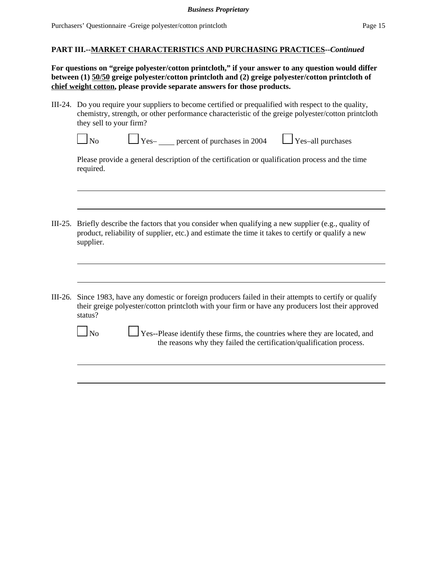**For questions on "greige polyester/cotton printcloth," if your answer to any question would differ between (1) 50/50 greige polyester/cotton printcloth and (2) greige polyester/cotton printcloth of chief weight cotton, please provide separate answers for those products.**

III-24. Do you require your suppliers to become certified or prequalified with respect to the quality, chemistry, strength, or other performance characteristic of the greige polyester/cotton printcloth they sell to your firm?

| $\sqrt{0}$ |  |
|------------|--|

 $\Gamma_{\text{Yes}-}$  percent of purchases in 2004  $\Gamma_{\text{Yes}-}$  Yes–all purchases

Please provide a general description of the certification or qualification process and the time required.

- III-25. Briefly describe the factors that you consider when qualifying a new supplier (e.g., quality of product, reliability of supplier, etc.) and estimate the time it takes to certify or qualify a new supplier.
- III-26. Since 1983, have any domestic or foreign producers failed in their attempts to certify or qualify their greige polyester/cotton printcloth with your firm or have any producers lost their approved status?



No  $\Box$  Yes--Please identify these firms, the countries where they are located, and the reasons why they failed the certification/qualification process.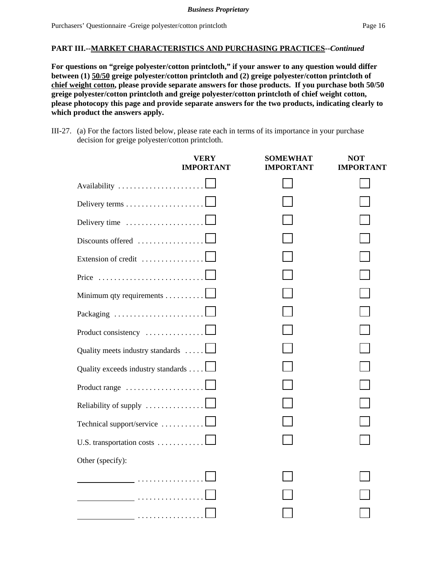**For questions on "greige polyester/cotton printcloth," if your answer to any question would differ between (1) 50/50 greige polyester/cotton printcloth and (2) greige polyester/cotton printcloth of chief weight cotton, please provide separate answers for those products. If you purchase both 50/50 greige polyester/cotton printcloth and greige polyester/cotton printcloth of chief weight cotton, please photocopy this page and provide separate answers for the two products, indicating clearly to which product the answers apply.**

III-27. (a) For the factors listed below, please rate each in terms of its importance in your purchase decision for greige polyester/cotton printcloth.

|                                                   | VERY<br><b>IMPORTANT</b> | SOMEWHAT<br>IMPORTANT | NOT<br><b>IMPORTANT</b> |
|---------------------------------------------------|--------------------------|-----------------------|-------------------------|
| Availability                                      |                          |                       |                         |
| Delivery terms                                    |                          |                       |                         |
| Delivery time                                     |                          |                       |                         |
| Discounts offered                                 |                          |                       |                         |
| Extension of credit                               |                          |                       |                         |
| Price                                             |                          |                       |                         |
| Minimum qty requirements                          |                          |                       |                         |
| Packaging                                         |                          |                       |                         |
| Product consistency                               |                          |                       |                         |
| Quality meets industry standards $\dots$ .        |                          |                       |                         |
| Quality exceeds industry standards                |                          |                       |                         |
| Product range                                     |                          |                       |                         |
| Reliability of supply $\dots\dots\dots\dots\dots$ |                          |                       |                         |
| Technical support/service                         |                          |                       |                         |
| U.S. transportation costs                         |                          |                       |                         |
| Other (specify):                                  |                          |                       |                         |
|                                                   |                          |                       |                         |
|                                                   |                          |                       |                         |
|                                                   |                          |                       |                         |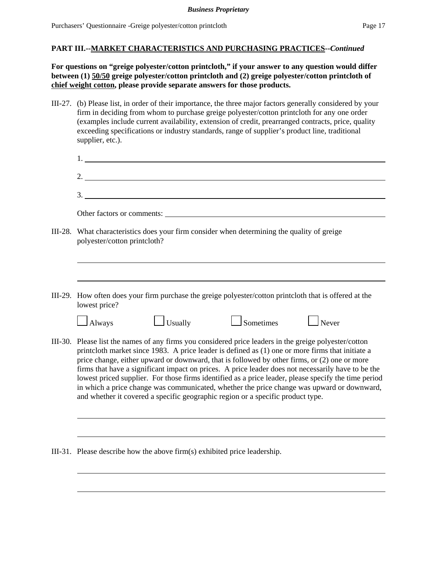**For questions on "greige polyester/cotton printcloth," if your answer to any question would differ between (1) 50/50 greige polyester/cotton printcloth and (2) greige polyester/cotton printcloth of chief weight cotton, please provide separate answers for those products.** 

III-27. (b) Please list, in order of their importance, the three major factors generally considered by your firm in deciding from whom to purchase greige polyester/cotton printcloth for any one order (examples include current availability, extension of credit, prearranged contracts, price, quality exceeding specifications or industry standards, range of supplier's product line, traditional supplier, etc.).

|         | 2. $\overline{\phantom{a}}$                                                                                                                                                                                                                                                                                                                                                                                                                                                                                                                                                                                                                                                                               |
|---------|-----------------------------------------------------------------------------------------------------------------------------------------------------------------------------------------------------------------------------------------------------------------------------------------------------------------------------------------------------------------------------------------------------------------------------------------------------------------------------------------------------------------------------------------------------------------------------------------------------------------------------------------------------------------------------------------------------------|
|         | $\frac{3}{2}$                                                                                                                                                                                                                                                                                                                                                                                                                                                                                                                                                                                                                                                                                             |
|         | Other factors or comments:                                                                                                                                                                                                                                                                                                                                                                                                                                                                                                                                                                                                                                                                                |
| III-28. | What characteristics does your firm consider when determining the quality of greige<br>polyester/cotton printcloth?                                                                                                                                                                                                                                                                                                                                                                                                                                                                                                                                                                                       |
|         |                                                                                                                                                                                                                                                                                                                                                                                                                                                                                                                                                                                                                                                                                                           |
|         | III-29. How often does your firm purchase the greige polyester/cotton printcloth that is offered at the<br>lowest price?                                                                                                                                                                                                                                                                                                                                                                                                                                                                                                                                                                                  |
|         | $\Box$ Usually<br>$\mathbf 1$ Never<br>$\Box$ Sometimes<br>$\Box$ Always                                                                                                                                                                                                                                                                                                                                                                                                                                                                                                                                                                                                                                  |
|         | III-30. Please list the names of any firms you considered price leaders in the greige polyester/cotton<br>printcloth market since 1983. A price leader is defined as (1) one or more firms that initiate a<br>price change, either upward or downward, that is followed by other firms, or (2) one or more<br>firms that have a significant impact on prices. A price leader does not necessarily have to be the<br>lowest priced supplier. For those firms identified as a price leader, please specify the time period<br>in which a price change was communicated, whether the price change was upward or downward,<br>and whether it covered a specific geographic region or a specific product type. |

III-31. Please describe how the above firm(s) exhibited price leadership.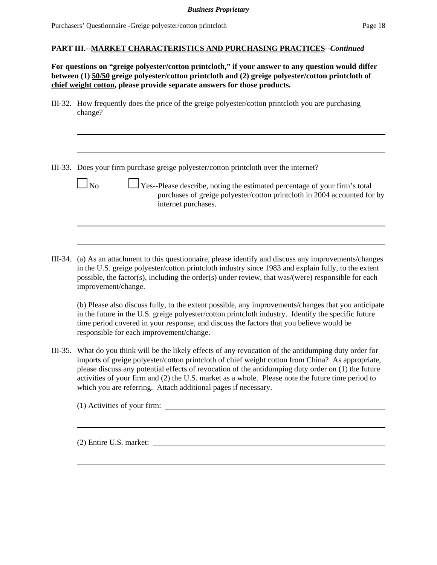**For questions on "greige polyester/cotton printcloth," if your answer to any question would differ between (1) 50/50 greige polyester/cotton printcloth and (2) greige polyester/cotton printcloth of chief weight cotton, please provide separate answers for those products.** 

III-32. How frequently does the price of the greige polyester/cotton printcloth you are purchasing change?

III-33. Does your firm purchase greige polyester/cotton printcloth over the internet?

- 
- $\Box$  No  $\Box$  Yes--Please describe, noting the estimated percentage of your firm's total purchases of greige polyester/cotton printcloth in 2004 accounted for by internet purchases.
- III-34. (a) As an attachment to this questionnaire, please identify and discuss any improvements/changes in the U.S. greige polyester/cotton printcloth industry since 1983 and explain fully, to the extent possible, the factor(s), including the order(s) under review, that was/(were) responsible for each improvement/change.

(b) Please also discuss fully, to the extent possible, any improvements/changes that you anticipate in the future in the U.S. greige polyester/cotton printcloth industry. Identify the specific future time period covered in your response, and discuss the factors that you believe would be responsible for each improvement/change.

III-35. What do you think will be the likely effects of any revocation of the antidumping duty order for imports of greige polyester/cotton printcloth of chief weight cotton from China? As appropriate, please discuss any potential effects of revocation of the antidumping duty order on (1) the future activities of your firm and (2) the U.S. market as a whole. Please note the future time period to which you are referring. Attach additional pages if necessary.

| (1) Activities of your firm: |  |
|------------------------------|--|
|                              |  |

(2) Entire U.S. market: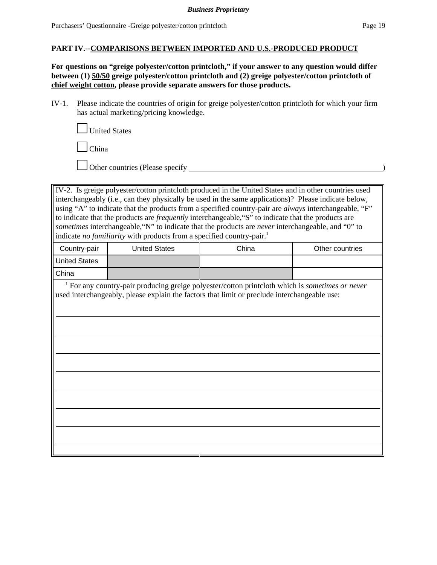#### **PART IV.--COMPARISONS BETWEEN IMPORTED AND U.S.-PRODUCED PRODUCT**

**For questions on "greige polyester/cotton printcloth," if your answer to any question would differ between (1) 50/50 greige polyester/cotton printcloth and (2) greige polyester/cotton printcloth of chief weight cotton, please provide separate answers for those products.**

IV-1. Please indicate the countries of origin for greige polyester/cotton printcloth for which your firm has actual marketing/pricing knowledge.

United States

China

Other countries (Please specify )

IV-2. Is greige polyester/cotton printcloth produced in the United States and in other countries used interchangeably (i.e., can they physically be used in the same applications)? Please indicate below, using "A" to indicate that the products from a specified country-pair are *always* interchangeable, "F" to indicate that the products are *frequently* interchangeable,"S" to indicate that the products are *sometimes* interchangeable,"N" to indicate that the products are *never* interchangeable, and "0" to indicate *no familiarity* with products from a specified country-pair.<sup>1</sup>

| Country-pair         | United States | China | Other countries |
|----------------------|---------------|-------|-----------------|
| <b>United States</b> |               |       |                 |
| China                |               |       |                 |

 1 For any country-pair producing greige polyester/cotton printcloth which is *sometimes or never* used interchangeably, please explain the factors that limit or preclude interchangeable use: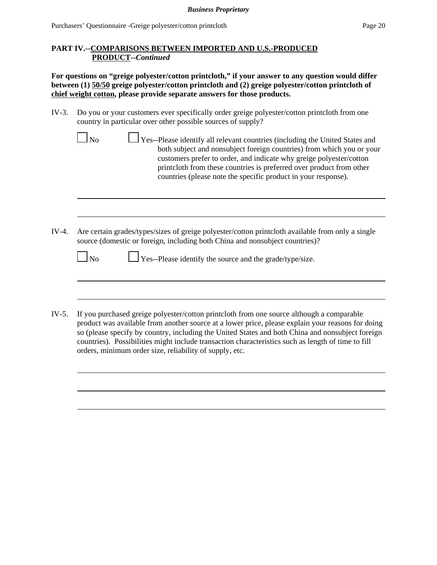### **PART IV.--COMPARISONS BETWEEN IMPORTED AND U.S.-PRODUCED PRODUCT--***Continued*

**For questions on "greige polyester/cotton printcloth," if your answer to any question would differ between (1) 50/50 greige polyester/cotton printcloth and (2) greige polyester/cotton printcloth of chief weight cotton, please provide separate answers for those products.** 

IV-3. Do you or your customers ever specifically order greige polyester/cotton printcloth from one country in particular over other possible sources of supply?

| ∣No |  |
|-----|--|

- $\Box$  Yes--Please identify all relevant countries (including the United States and both subject and nonsubject foreign countries) from which you or your customers prefer to order, and indicate why greige polyester/cotton printcloth from these countries is preferred over product from other countries (please note the specific product in your response).
- IV-4. Are certain grades/types/sizes of greige polyester/cotton printcloth available from only a single source (domestic or foreign, including both China and nonsubject countries)?

| $\Box$ No |  | $\Box$ Yes--Please identify the source and the grade/type/size. |
|-----------|--|-----------------------------------------------------------------|
|-----------|--|-----------------------------------------------------------------|

IV-5. If you purchased greige polyester/cotton printcloth from one source although a comparable product was available from another source at a lower price, please explain your reasons for doing so (please specify by country, including the United States and both China and nonsubject foreign countries). Possibilities might include transaction characteristics such as length of time to fill orders, minimum order size, reliability of supply, etc.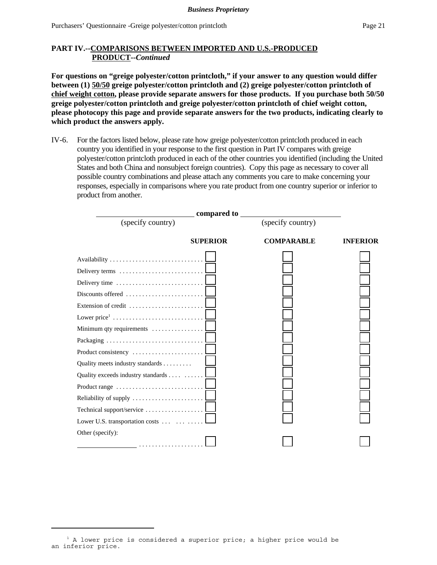### **PART IV.--COMPARISONS BETWEEN IMPORTED AND U.S.-PRODUCED PRODUCT--***Continued*

**For questions on "greige polyester/cotton printcloth," if your answer to any question would differ between (1) 50/50 greige polyester/cotton printcloth and (2) greige polyester/cotton printcloth of chief weight cotton, please provide separate answers for those products. If you purchase both 50/50 greige polyester/cotton printcloth and greige polyester/cotton printcloth of chief weight cotton, please photocopy this page and provide separate answers for the two products, indicating clearly to which product the answers apply.**

IV-6. For the factors listed below, please rate how greige polyester/cotton printcloth produced in each country you identified in your response to the first question in Part IV compares with greige polyester/cotton printcloth produced in each of the other countries you identified (including the United States and both China and nonsubject foreign countries). Copy this page as necessary to cover all possible country combinations and please attach any comments you care to make concerning your responses, especially in comparisons where you rate product from one country superior or inferior to product from another.



 $1$  A lower price is considered a superior price; a higher price would be an inferior price.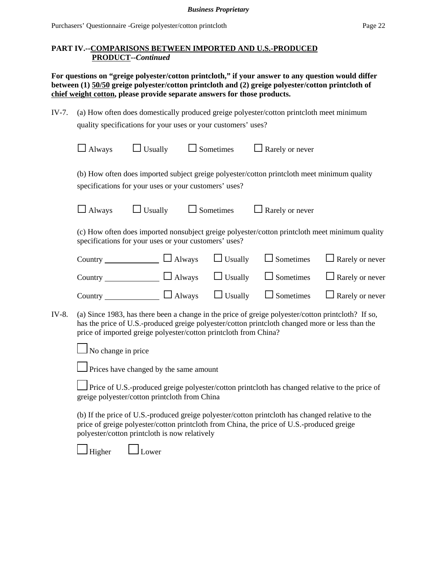### **PART IV.--COMPARISONS BETWEEN IMPORTED AND U.S.-PRODUCED PRODUCT--***Continued*

**For questions on "greige polyester/cotton printcloth," if your answer to any question would differ between (1) 50/50 greige polyester/cotton printcloth and (2) greige polyester/cotton printcloth of chief weight cotton, please provide separate answers for those products.** 

| IV-7. (a) How often does domestically produced greige polyester/cotton printcloth meet minimum |
|------------------------------------------------------------------------------------------------|
| quality specifications for your uses or your customers' uses?                                  |

|       | Always                                                           | $\Box$ Usually | $\Box$ Sometimes | Rarely or never                                                                                                                                                                                       |                        |
|-------|------------------------------------------------------------------|----------------|------------------|-------------------------------------------------------------------------------------------------------------------------------------------------------------------------------------------------------|------------------------|
|       | specifications for your uses or your customers' uses?            |                |                  | (b) How often does imported subject greige polyester/cotton printcloth meet minimum quality                                                                                                           |                        |
|       | $\Box$ Always                                                    | $\Box$ Usually | $\Box$ Sometimes | $\Box$ Rarely or never                                                                                                                                                                                |                        |
|       | specifications for your uses or your customers' uses?            |                |                  | (c) How often does imported nonsubject greige polyester/cotton printcloth meet minimum quality                                                                                                        |                        |
|       | Country $\Box$ Always                                            |                | $\Box$ Usually   | $\Box$ Sometimes                                                                                                                                                                                      | $\Box$ Rarely or never |
|       |                                                                  |                |                  | Country $\Box$ Always $\Box$ Usually $\Box$ Sometimes                                                                                                                                                 | $\Box$ Rarely or never |
|       | Country $\Box$ Always                                            |                | $\Box$ Usually   | $\Box$ Sometimes                                                                                                                                                                                      | $\Box$ Rarely or never |
| IV-8. | price of imported greige polyester/cotton printcloth from China? |                |                  | (a) Since 1983, has there been a change in the price of greige polyester/cotton printcloth? If so,<br>has the price of U.S.-produced greige polyester/cotton printcloth changed more or less than the |                        |
|       | No change in price                                               |                |                  |                                                                                                                                                                                                       |                        |

**Prices have changed by the same amount** 

 Price of U.S.-produced greige polyester/cotton printcloth has changed relative to the price of greige polyester/cotton printcloth from China

(b) If the price of U.S.-produced greige polyester/cotton printcloth has changed relative to the price of greige polyester/cotton printcloth from China, the price of U.S.-produced greige polyester/cotton printcloth is now relatively

 $\Box$ Higher  $\Box$  Lower